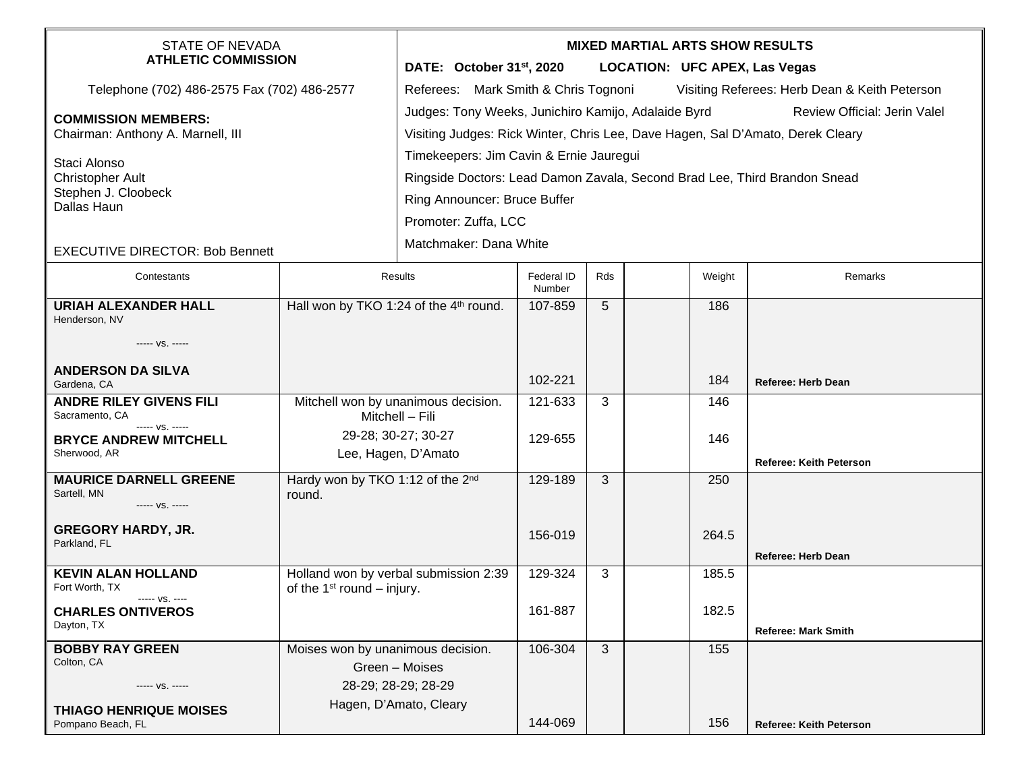| <b>STATE OF NEVADA</b><br><b>ATHLETIC COMMISSION</b>                                                                                                                                       |                                                                       | <b>MIXED MARTIAL ARTS SHOW RESULTS</b><br>DATE: October 31 <sup>st</sup> , 2020<br><b>LOCATION: UFC APEX, Las Vegas</b>                                                                                                                                                                                                                                                         |                      |     |  |            |                                |  |  |
|--------------------------------------------------------------------------------------------------------------------------------------------------------------------------------------------|-----------------------------------------------------------------------|---------------------------------------------------------------------------------------------------------------------------------------------------------------------------------------------------------------------------------------------------------------------------------------------------------------------------------------------------------------------------------|----------------------|-----|--|------------|--------------------------------|--|--|
| Telephone (702) 486-2575 Fax (702) 486-2577                                                                                                                                                |                                                                       | Referees: Mark Smith & Chris Tognoni<br>Visiting Referees: Herb Dean & Keith Peterson                                                                                                                                                                                                                                                                                           |                      |     |  |            |                                |  |  |
| <b>COMMISSION MEMBERS:</b><br>Chairman: Anthony A. Marnell, III<br>Staci Alonso<br><b>Christopher Ault</b><br>Stephen J. Cloobeck<br>Dallas Haun<br><b>EXECUTIVE DIRECTOR: Bob Bennett</b> |                                                                       | Judges: Tony Weeks, Junichiro Kamijo, Adalaide Byrd<br>Review Official: Jerin Valel<br>Visiting Judges: Rick Winter, Chris Lee, Dave Hagen, Sal D'Amato, Derek Cleary<br>Timekeepers: Jim Cavin & Ernie Jauregui<br>Ringside Doctors: Lead Damon Zavala, Second Brad Lee, Third Brandon Snead<br>Ring Announcer: Bruce Buffer<br>Promoter: Zuffa, LCC<br>Matchmaker: Dana White |                      |     |  |            |                                |  |  |
| Contestants                                                                                                                                                                                | Results                                                               |                                                                                                                                                                                                                                                                                                                                                                                 | Federal ID<br>Number | Rds |  | Weight     | Remarks                        |  |  |
| <b>URIAH ALEXANDER HALL</b><br>Henderson, NV<br>----- VS. -----<br><b>ANDERSON DA SILVA</b>                                                                                                | Hall won by TKO 1:24 of the 4 <sup>th</sup> round.                    |                                                                                                                                                                                                                                                                                                                                                                                 | 107-859              | 5   |  | 186        |                                |  |  |
| Gardena, CA<br><b>ANDRE RILEY GIVENS FILI</b>                                                                                                                                              |                                                                       |                                                                                                                                                                                                                                                                                                                                                                                 | 102-221<br>121-633   | 3   |  | 184<br>146 | Referee: Herb Dean             |  |  |
| Sacramento, CA<br>----- VS. -----                                                                                                                                                          | Mitchell won by unanimous decision.<br>Mitchell - Fili                |                                                                                                                                                                                                                                                                                                                                                                                 |                      |     |  |            |                                |  |  |
| <b>BRYCE ANDREW MITCHELL</b><br>Sherwood, AR                                                                                                                                               | 29-28; 30-27; 30-27<br>Lee, Hagen, D'Amato                            |                                                                                                                                                                                                                                                                                                                                                                                 | 129-655              |     |  | 146        | Referee: Keith Peterson        |  |  |
| <b>MAURICE DARNELL GREENE</b><br>Sartell, MN<br>----- VS. -----                                                                                                                            | Hardy won by TKO 1:12 of the 2nd<br>round.                            |                                                                                                                                                                                                                                                                                                                                                                                 | 129-189              | 3   |  | 250        |                                |  |  |
| <b>GREGORY HARDY, JR.</b><br>Parkland, FL                                                                                                                                                  |                                                                       |                                                                                                                                                                                                                                                                                                                                                                                 | 156-019              |     |  | 264.5      | <b>Referee: Herb Dean</b>      |  |  |
| <b>KEVIN ALAN HOLLAND</b><br>Fort Worth, TX<br>$--- VS. ---$                                                                                                                               | Holland won by verbal submission 2:39<br>of the $1st$ round – injury. |                                                                                                                                                                                                                                                                                                                                                                                 | 129-324              | 3   |  | 185.5      |                                |  |  |
| <b>CHARLES ONTIVEROS</b><br>Dayton, TX                                                                                                                                                     |                                                                       |                                                                                                                                                                                                                                                                                                                                                                                 | 161-887              |     |  | 182.5      | <b>Referee: Mark Smith</b>     |  |  |
| <b>BOBBY RAY GREEN</b><br>Colton, CA<br>----- VS. -----<br><b>THIAGO HENRIQUE MOISES</b>                                                                                                   | Moises won by unanimous decision.                                     | Green - Moises<br>28-29; 28-29; 28-29<br>Hagen, D'Amato, Cleary                                                                                                                                                                                                                                                                                                                 | 106-304              | 3   |  | 155        |                                |  |  |
| Pompano Beach, FL                                                                                                                                                                          |                                                                       |                                                                                                                                                                                                                                                                                                                                                                                 | 144-069              |     |  | 156        | <b>Referee: Keith Peterson</b> |  |  |